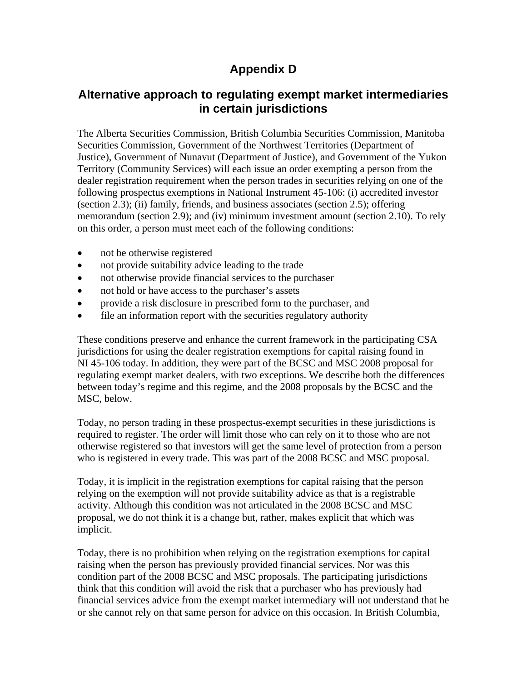## **Appendix D**

## **Alternative approach to regulating exempt market intermediaries in certain jurisdictions**

The Alberta Securities Commission, British Columbia Securities Commission, Manitoba Securities Commission, Government of the Northwest Territories (Department of Justice), Government of Nunavut (Department of Justice), and Government of the Yukon Territory (Community Services) will each issue an order exempting a person from the dealer registration requirement when the person trades in securities relying on one of the following prospectus exemptions in National Instrument 45-106: (i) accredited investor (section 2.3); (ii) family, friends, and business associates (section 2.5); offering memorandum (section 2.9); and (iv) minimum investment amount (section 2.10). To rely on this order, a person must meet each of the following conditions:

- not be otherwise registered
- not provide suitability advice leading to the trade
- not otherwise provide financial services to the purchaser
- not hold or have access to the purchaser's assets
- provide a risk disclosure in prescribed form to the purchaser, and
- file an information report with the securities regulatory authority

These conditions preserve and enhance the current framework in the participating CSA jurisdictions for using the dealer registration exemptions for capital raising found in NI 45-106 today. In addition, they were part of the BCSC and MSC 2008 proposal for regulating exempt market dealers, with two exceptions. We describe both the differences between today's regime and this regime, and the 2008 proposals by the BCSC and the MSC, below.

Today, no person trading in these prospectus-exempt securities in these jurisdictions is required to register. The order will limit those who can rely on it to those who are not otherwise registered so that investors will get the same level of protection from a person who is registered in every trade. This was part of the 2008 BCSC and MSC proposal.

Today, it is implicit in the registration exemptions for capital raising that the person relying on the exemption will not provide suitability advice as that is a registrable activity. Although this condition was not articulated in the 2008 BCSC and MSC proposal, we do not think it is a change but, rather, makes explicit that which was implicit.

Today, there is no prohibition when relying on the registration exemptions for capital raising when the person has previously provided financial services. Nor was this condition part of the 2008 BCSC and MSC proposals. The participating jurisdictions think that this condition will avoid the risk that a purchaser who has previously had financial services advice from the exempt market intermediary will not understand that he or she cannot rely on that same person for advice on this occasion. In British Columbia,